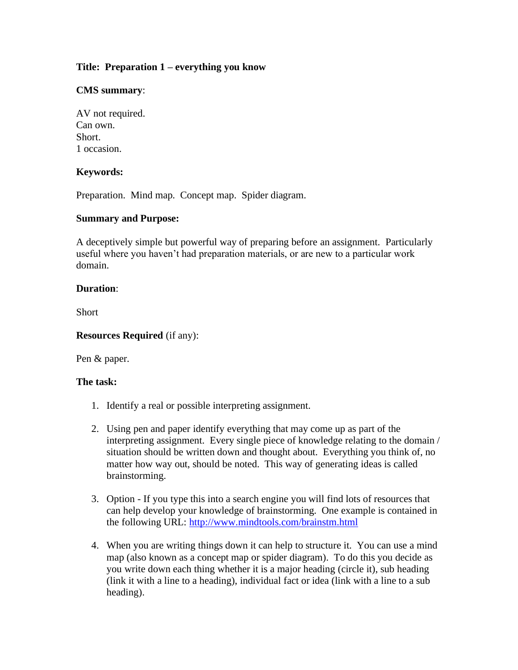# **Title: Preparation 1 – everything you know**

## **CMS summary**:

AV not required. Can own. Short. 1 occasion.

## **Keywords:**

Preparation. Mind map. Concept map. Spider diagram.

### **Summary and Purpose:**

A deceptively simple but powerful way of preparing before an assignment. Particularly useful where you haven't had preparation materials, or are new to a particular work domain.

### **Duration**:

Short

#### **Resources Required** (if any):

Pen & paper.

### **The task:**

- 1. Identify a real or possible interpreting assignment.
- 2. Using pen and paper identify everything that may come up as part of the interpreting assignment. Every single piece of knowledge relating to the domain / situation should be written down and thought about. Everything you think of, no matter how way out, should be noted. This way of generating ideas is called brainstorming.
- 3. Option If you type this into a search engine you will find lots of resources that can help develop your knowledge of brainstorming. One example is contained in the following URL:<http://www.mindtools.com/brainstm.html>
- 4. When you are writing things down it can help to structure it. You can use a mind map (also known as a concept map or spider diagram). To do this you decide as you write down each thing whether it is a major heading (circle it), sub heading (link it with a line to a heading), individual fact or idea (link with a line to a sub heading).